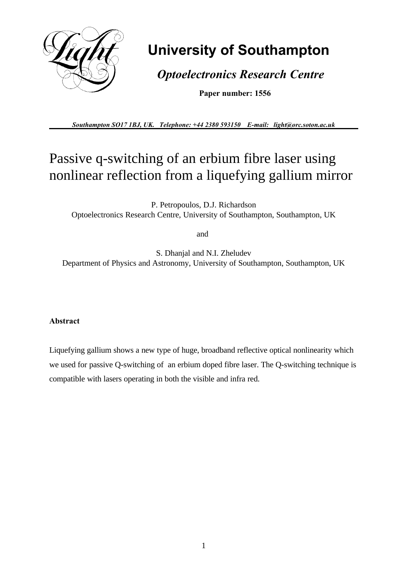

# **University of Southampton**

 *Optoelectronics Research Centre*

 **Paper number: 1556**

*Southampton SO17 1BJ, UK. Telephone: +44 2380 593150 E-mail: light@orc.soton.ac.uk*

## Passive q-switching of an erbium fibre laser using nonlinear reflection from a liquefying gallium mirror

P. Petropoulos, D.J. Richardson Optoelectronics Research Centre, University of Southampton, Southampton, UK

and

S. Dhanjal and N.I. Zheludev Department of Physics and Astronomy, University of Southampton, Southampton, UK

#### **Abstract**

Liquefying gallium shows a new type of huge, broadband reflective optical nonlinearity which we used for passive Q-switching of an erbium doped fibre laser. The Q-switching technique is compatible with lasers operating in both the visible and infra red.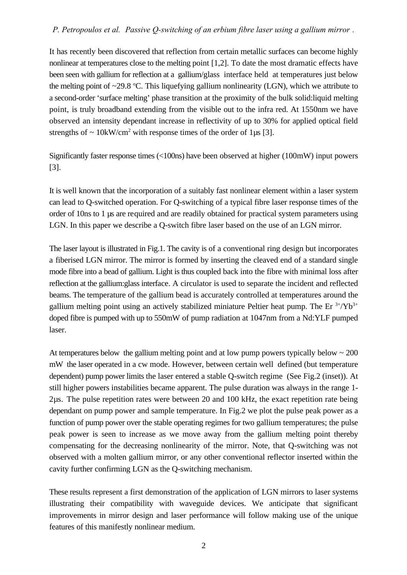#### *P. Petropoulos et al. 'Passive Q-switching of an erbium fibre laser using a gallium mirror'.*

It has recently been discovered that reflection from certain metallic surfaces can become highly nonlinear at temperatures close to the melting point [1,2]. To date the most dramatic effects have been seen with gallium for reflection at a gallium/glass interface held at temperatures just below the melting point of  $\sim$ 29.8 °C. This liquefying gallium nonlinearity (LGN), which we attribute to a second-order 'surface melting' phase transition at the proximity of the bulk solid:liquid melting point, is truly broadband extending from the visible out to the infra red. At 1550nm we have observed an intensity dependant increase in reflectivity of up to 30% for applied optical field strengths of  $\sim 10$ kW/cm<sup>2</sup> with response times of the order of 1 $\mu$ s [3].

Significantly faster response times (<100ns) have been observed at higher (100mW) input powers [3].

It is well known that the incorporation of a suitably fast nonlinear element within a laser system can lead to Q-switched operation. For Q-switching of a typical fibre laser response times of the order of 10ns to 1 µs are required and are readily obtained for practical system parameters using LGN. In this paper we describe a Q-switch fibre laser based on the use of an LGN mirror.

The laser layout is illustrated in Fig.1. The cavity is of a conventional ring design but incorporates a fiberised LGN mirror. The mirror is formed by inserting the cleaved end of a standard single mode fibre into a bead of gallium. Light is thus coupled back into the fibre with minimal loss after reflection at the gallium:glass interface. A circulator is used to separate the incident and reflected beams. The temperature of the gallium bead is accurately controlled at temperatures around the gallium melting point using an actively stabilized miniature Peltier heat pump. The Er  $3+/Yb^{3+}$ doped fibre is pumped with up to 550mW of pump radiation at 1047nm from a Nd:YLF pumped laser.

At temperatures below the gallium melting point and at low pump powers typically below  $\sim 200$ mW the laser operated in a cw mode. However, between certain well defined (but temperature dependent) pump power limits the laser entered a stable Q-switch regime (See Fig.2 (inset)). At still higher powers instabilities became apparent. The pulse duration was always in the range 1- 2µs. The pulse repetition rates were between 20 and 100 kHz, the exact repetition rate being dependant on pump power and sample temperature. In Fig.2 we plot the pulse peak power as a function of pump power over the stable operating regimes for two gallium temperatures; the pulse peak power is seen to increase as we move away from the gallium melting point thereby compensating for the decreasing nonlinearity of the mirror. Note, that Q-switching was not observed with a molten gallium mirror, or any other conventional reflector inserted within the cavity further confirming LGN as the Q-switching mechanism.

These results represent a first demonstration of the application of LGN mirrors to laser systems illustrating their compatibility with waveguide devices. We anticipate that significant improvements in mirror design and laser performance will follow making use of the unique features of this manifestly nonlinear medium.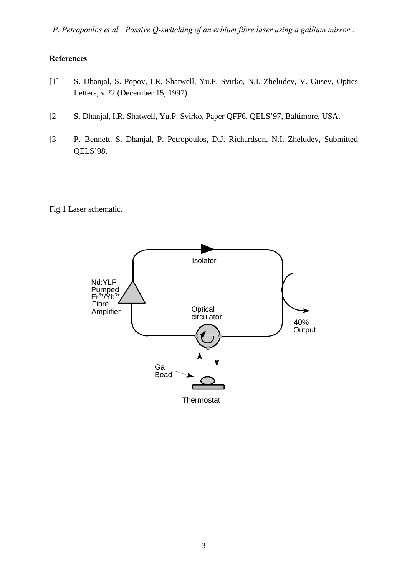*P. Petropoulos et al. 'Passive Q-switching of an erbium fibre laser using a gallium mirror'.*

### **References**

- [1] S. Dhanjal, S. Popov, I.R. Shatwell, Yu.P. Svirko, N.I. Zheludev, V. Gusev, Optics Letters, v.22 (December 15, 1997)
- [2] S. Dhanjal, I.R. Shatwell, Yu.P. Svirko, Paper QFF6, QELS'97, Baltimore, USA.
- [3] P. Bennett, S. Dhanjal, P. Petropoulos, D.J. Richardson, N.I. Zheludev, Submitted QELS'98.

Fig.1 Laser schematic.